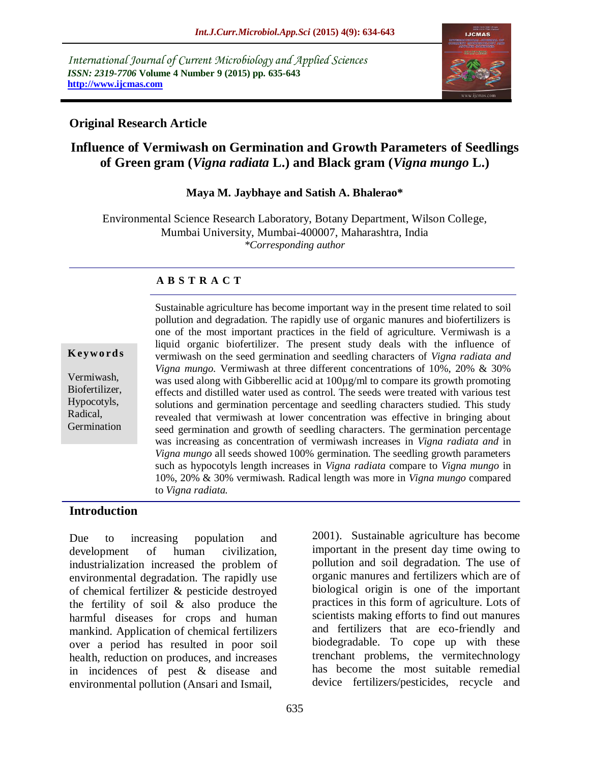*International Journal of Current Microbiology and Applied Sciences ISSN: 2319-7706* **Volume 4 Number 9 (2015) pp. 635-643 http://www.ijcmas.com** 



## **Original Research Article**

# **Influence of Vermiwash on Germination and Growth Parameters of Seedlings of Green gram (***Vigna radiata* **L.) and Black gram (***Vigna mungo* **L.)**

#### **Maya M. Jaybhaye and Satish A. Bhalerao\***

Environmental Science Research Laboratory, Botany Department, Wilson College, Mumbai University, Mumbai-400007, Maharashtra, India *\*Corresponding author*

#### **A B S T R A C T**

#### **K ey w o rd s**

Vermiwash*,* Biofertilizer, Hypocotyls, Radical, Germination

Sustainable agriculture has become important way in the present time related to soil pollution and degradation. The rapidly use of organic manures and biofertilizers is one of the most important practices in the field of agriculture. Vermiwash is a liquid organic biofertilizer. The present study deals with the influence of vermiwash on the seed germination and seedling characters of *Vigna radiata and Vigna mungo.* Vermiwash at three different concentrations of 10%, 20% & 30% was used along with Gibberellic acid at  $100\mu\text{g/ml}$  to compare its growth promoting effects and distilled water used as control. The seeds were treated with various test solutions and germination percentage and seedling characters studied. This study revealed that vermiwash at lower concentration was effective in bringing about seed germination and growth of seedling characters. The germination percentage was increasing as concentration of vermiwash increases in *Vigna radiata and* in *Vigna mungo* all seeds showed 100% germination. The seedling growth parameters such as hypocotyls length increases in *Vigna radiata* compare to *Vigna mungo* in 10%, 20% & 30% vermiwash. Radical length was more in *Vigna mungo* compared to *Vigna radiata.*

#### **Introduction**

Due to increasing population and development of human civilization, industrialization increased the problem of environmental degradation. The rapidly use of chemical fertilizer & pesticide destroyed the fertility of soil & also produce the harmful diseases for crops and human mankind. Application of chemical fertilizers over a period has resulted in poor soil health, reduction on produces, and increases in incidences of pest & disease and environmental pollution (Ansari and Ismail,

2001). Sustainable agriculture has become important in the present day time owing to pollution and soil degradation. The use of organic manures and fertilizers which are of biological origin is one of the important practices in this form of agriculture. Lots of scientists making efforts to find out manures and fertilizers that are eco-friendly and biodegradable. To cope up with these trenchant problems, the vermitechnology has become the most suitable remedial device fertilizers/pesticides, recycle and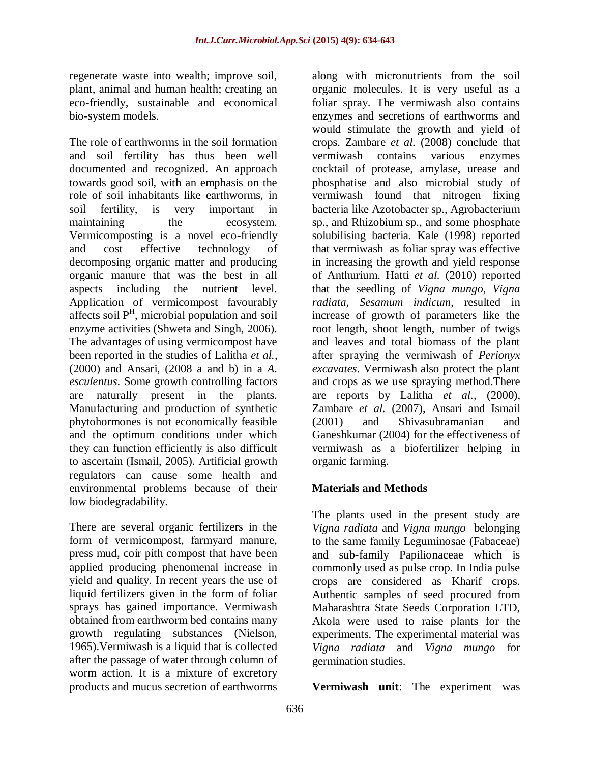regenerate waste into wealth; improve soil, plant, animal and human health; creating an eco-friendly, sustainable and economical bio-system models.

The role of earthworms in the soil formation and soil fertility has thus been well documented and recognized. An approach towards good soil, with an emphasis on the role of soil inhabitants like earthworms, in soil fertility, is very important in maintaining the ecosystem. Vermicomposting is a novel eco-friendly and cost effective technology of decomposing organic matter and producing organic manure that was the best in all aspects including the nutrient level. Application of vermicompost favourably affects soil  $P<sup>H</sup>$ , microbial population and soil enzyme activities (Shweta and Singh, 2006). The advantages of using vermicompost have been reported in the studies of Lalitha *et al.,* (2000) and Ansari, (2008 a and b) in a *A. esculentus*. Some growth controlling factors are naturally present in the plants. Manufacturing and production of synthetic phytohormones is not economically feasible and the optimum conditions under which they can function efficiently is also difficult to ascertain (Ismail, 2005). Artificial growth regulators can cause some health and environmental problems because of their low biodegradability.

There are several organic fertilizers in the form of vermicompost, farmyard manure, press mud, coir pith compost that have been applied producing phenomenal increase in yield and quality. In recent years the use of liquid fertilizers given in the form of foliar sprays has gained importance. Vermiwash obtained from earthworm bed contains many growth regulating substances (Nielson, 1965).Vermiwash is a liquid that is collected after the passage of water through column of worm action. It is a mixture of excretory products and mucus secretion of earthworms

along with micronutrients from the soil organic molecules. It is very useful as a foliar spray. The vermiwash also contains enzymes and secretions of earthworms and would stimulate the growth and yield of crops. Zambare *et al.* (2008) conclude that vermiwash contains various enzymes cocktail of protease, amylase, urease and phosphatise and also microbial study of vermiwash found that nitrogen fixing bacteria like Azotobacter sp., Agrobacterium sp., and Rhizobium sp., and some phosphate solubilising bacteria. Kale (1998) reported that vermiwash as foliar spray was effective in increasing the growth and yield response of Anthurium. Hatti *et al.* (2010) reported that the seedling of *Vigna mungo, Vigna radiata, Sesamum indicum*, resulted in increase of growth of parameters like the root length, shoot length, number of twigs and leaves and total biomass of the plant after spraying the vermiwash of *Perionyx excavates*. Vermiwash also protect the plant and crops as we use spraying method.There are reports by Lalitha *et al.,* (2000), Zambare *et al.* (2007), Ansari and Ismail (2001) and Shivasubramanian and Ganeshkumar (2004) for the effectiveness of vermiwash as a biofertilizer helping in organic farming.

## **Materials and Methods**

The plants used in the present study are *Vigna radiata* and *Vigna mungo* belonging to the same family Leguminosae (Fabaceae) and sub-family Papilionaceae which is commonly used as pulse crop. In India pulse crops are considered as Kharif crops. Authentic samples of seed procured from Maharashtra State Seeds Corporation LTD, Akola were used to raise plants for the experiments. The experimental material was *Vigna radiata* and *Vigna mungo* for germination studies.

**Vermiwash unit**: The experiment was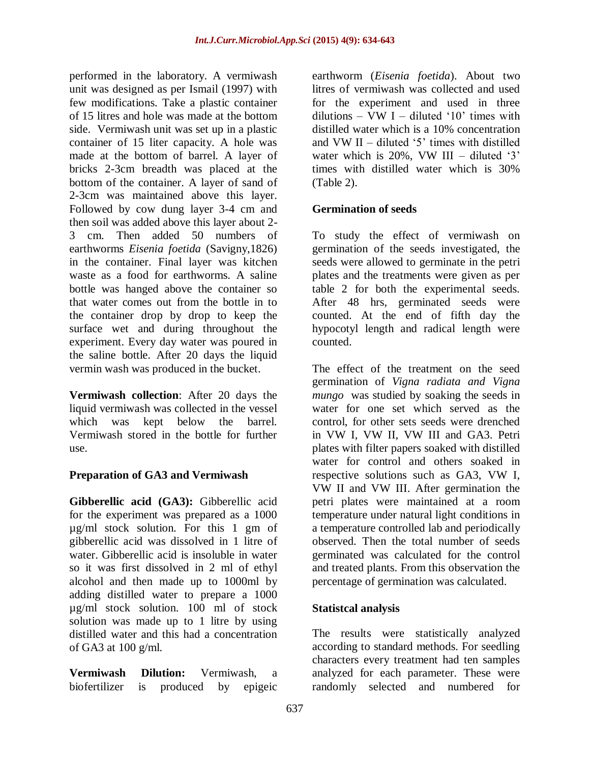performed in the laboratory. A vermiwash unit was designed as per Ismail (1997) with few modifications. Take a plastic container of 15 litres and hole was made at the bottom side. Vermiwash unit was set up in a plastic container of 15 liter capacity. A hole was made at the bottom of barrel. A layer of bricks 2-3cm breadth was placed at the bottom of the container. A layer of sand of 2-3cm was maintained above this layer. Followed by cow dung layer 3-4 cm and then soil was added above this layer about 2- 3 cm. Then added 50 numbers of earthworms *Eisenia foetida* (Savigny,1826) in the container. Final layer was kitchen waste as a food for earthworms. A saline bottle was hanged above the container so that water comes out from the bottle in to the container drop by drop to keep the surface wet and during throughout the experiment. Every day water was poured in the saline bottle. After 20 days the liquid vermin wash was produced in the bucket.

**Vermiwash collection**: After 20 days the liquid vermiwash was collected in the vessel which was kept below the barrel. Vermiwash stored in the bottle for further use.

## **Preparation of GA3 and Vermiwash**

**Gibberellic acid (GA3):** Gibberellic acid for the experiment was prepared as a 1000 µg/ml stock solution. For this 1 gm of gibberellic acid was dissolved in 1 litre of water. Gibberellic acid is insoluble in water so it was first dissolved in 2 ml of ethyl alcohol and then made up to 1000ml by adding distilled water to prepare a 1000 µg/ml stock solution. 100 ml of stock solution was made up to 1 litre by using distilled water and this had a concentration of GA3 at 100 g/ml.

**Vermiwash Dilution:** Vermiwash, a biofertilizer is produced by epigeic

earthworm (*Eisenia foetida*). About two litres of vermiwash was collected and used for the experiment and used in three dilutions – VW I – diluted '10' times with distilled water which is a 10% concentration and VW II – diluted  $5'$  times with distilled water which is  $20\%$ . VW III – diluted '3' times with distilled water which is 30% (Table 2).

## **Germination of seeds**

To study the effect of vermiwash on germination of the seeds investigated, the seeds were allowed to germinate in the petri plates and the treatments were given as per table 2 for both the experimental seeds. After 48 hrs, germinated seeds were counted. At the end of fifth day the hypocotyl length and radical length were counted.

The effect of the treatment on the seed germination of *Vigna radiata and Vigna mungo* was studied by soaking the seeds in water for one set which served as the control, for other sets seeds were drenched in VW I, VW II, VW III and GA3. Petri plates with filter papers soaked with distilled water for control and others soaked in respective solutions such as GA3, VW I, VW II and VW III. After germination the petri plates were maintained at a room temperature under natural light conditions in a temperature controlled lab and periodically observed. Then the total number of seeds germinated was calculated for the control and treated plants. From this observation the percentage of germination was calculated.

#### **Statistcal analysis**

The results were statistically analyzed according to standard methods. For seedling characters every treatment had ten samples analyzed for each parameter. These were randomly selected and numbered for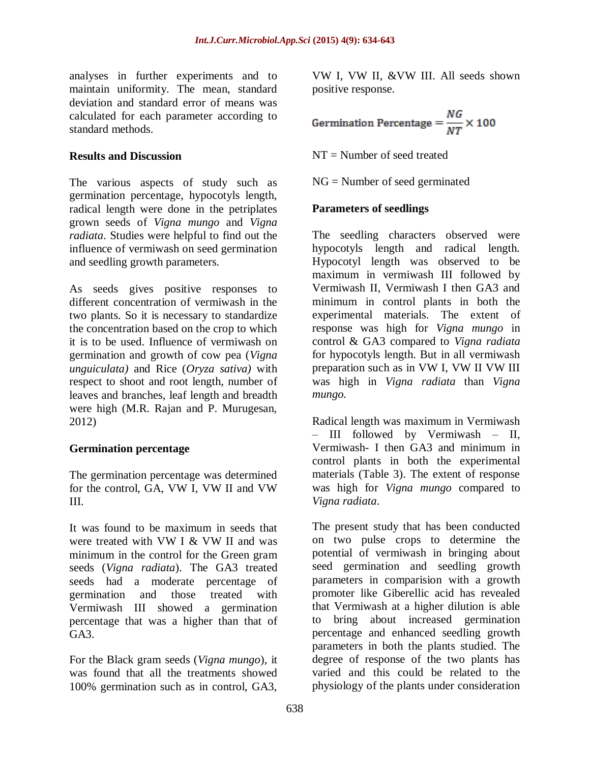analyses in further experiments and to maintain uniformity. The mean, standard deviation and standard error of means was calculated for each parameter according to standard methods.

#### **Results and Discussion**

The various aspects of study such as germination percentage, hypocotyls length, radical length were done in the petriplates grown seeds of *Vigna mungo* and *Vigna radiata*. Studies were helpful to find out the influence of vermiwash on seed germination and seedling growth parameters.

As seeds gives positive responses to different concentration of vermiwash in the two plants. So it is necessary to standardize the concentration based on the crop to which it is to be used. Influence of vermiwash on germination and growth of cow pea (*Vigna unguiculata)* and Rice (*Oryza sativa)* with respect to shoot and root length, number of leaves and branches, leaf length and breadth were high (M.R. Rajan and P. Murugesan, 2012)

#### **Germination percentage**

The germination percentage was determined for the control, GA, VW I, VW II and VW III.

It was found to be maximum in seeds that were treated with VW I & VW II and was minimum in the control for the Green gram seeds (*Vigna radiata*). The GA3 treated seeds had a moderate percentage of germination and those treated with Vermiwash III showed a germination percentage that was a higher than that of GA3.

For the Black gram seeds (*Vigna mungo*), it was found that all the treatments showed 100% germination such as in control, GA3,

VW I, VW II, &VW III. All seeds shown positive response.

$$
Germanation Percentage = \frac{NG}{NT} \times 100
$$

NT = Number of seed treated

NG = Number of seed germinated

## **Parameters of seedlings**

The seedling characters observed were hypocotyls length and radical length. Hypocotyl length was observed to be maximum in vermiwash III followed by Vermiwash II, Vermiwash I then GA3 and minimum in control plants in both the experimental materials. The extent of response was high for *Vigna mungo* in control & GA3 compared to *Vigna radiata*  for hypocotyls length. But in all vermiwash preparation such as in VW I, VW II VW III was high in *Vigna radiata* than *Vigna mungo.*

Radical length was maximum in Vermiwash – III followed by Vermiwash – II, Vermiwash- I then GA3 and minimum in control plants in both the experimental materials (Table 3). The extent of response was high for *Vigna mungo* compared to *Vigna radiata*.

The present study that has been conducted on two pulse crops to determine the potential of vermiwash in bringing about seed germination and seedling growth parameters in comparision with a growth promoter like Giberellic acid has revealed that Vermiwash at a higher dilution is able to bring about increased germination percentage and enhanced seedling growth parameters in both the plants studied. The degree of response of the two plants has varied and this could be related to the physiology of the plants under consideration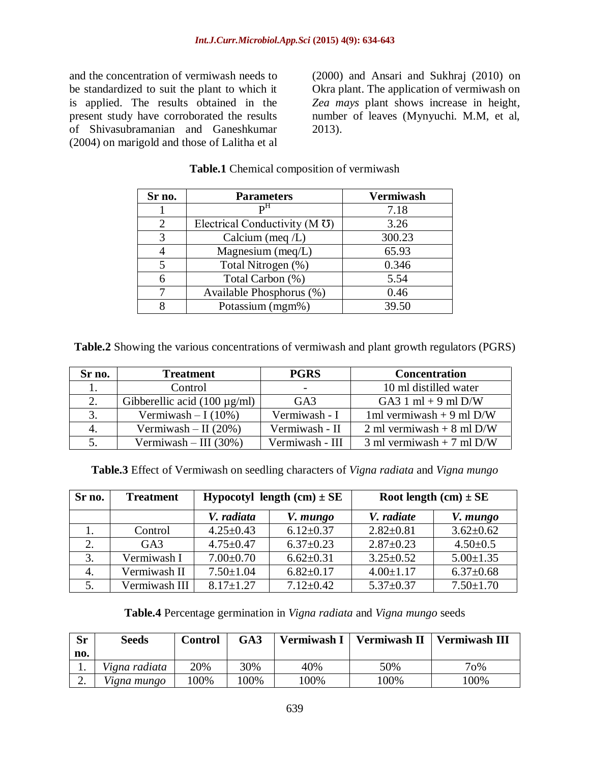and the concentration of vermiwash needs to be standardized to suit the plant to which it is applied. The results obtained in the present study have corroborated the results of Shivasubramanian and Ganeshkumar (2004) on marigold and those of Lalitha et al

(2000) and Ansari and Sukhraj (2010) on Okra plant. The application of vermiwash on *Zea mays* plant shows increase in height, number of leaves (Mynyuchi. M.M, et al, 2013).

| Sr no.                      | <b>Parameters</b>                            | <b>Vermiwash</b> |
|-----------------------------|----------------------------------------------|------------------|
|                             | р <sup>н</sup>                               | 7.18             |
| $\mathcal{D}_{\mathcal{L}}$ | Electrical Conductivity ( $M \overline{O}$ ) | 3.26             |
| 3                           | Calcium (meq $/L$ )                          | 300.23           |
|                             | Magnesium (meq/L)                            | 65.93            |
| 5                           | Total Nitrogen (%)                           | 0.346            |
| 6                           | Total Carbon (%)                             | 5.54             |
|                             | Available Phosphorus (%)                     | 0.46             |
|                             | Potassium (mgm%)                             | 39.50            |

#### **Table.1** Chemical composition of vermiwash

**Table.2** Showing the various concentrations of vermiwash and plant growth regulators (PGRS)

| Sr no. | <b>Treatment</b>                  | <b>PGRS</b>     | <b>Concentration</b>                  |
|--------|-----------------------------------|-----------------|---------------------------------------|
|        | Control                           |                 | 10 ml distilled water                 |
|        | Gibberellic acid $(100 \mu g/ml)$ | GA <sub>3</sub> | GA3 $1 \text{ ml} + 9 \text{ ml}$ D/W |
|        | Vermiwash $-1(10\%)$              | Vermiwash - I   | 1ml vermiwash + 9 ml $D/W$            |
|        | Vermiwash $-$ II (20%)            | Vermiwash - II  | 2 ml vermiwash + 8 ml $D/W$           |
|        | Vermiwash $-$ III (30%)           | Vermiwash - III | 3 ml vermiwash + 7 ml $D/W$           |

**Table.3** Effect of Vermiwash on seedling characters of *Vigna radiata* and *Vigna mungo*

| Sr no.         | <b>Treatment</b> | Hypocotyl length $(cm) \pm SE$ |                 | Root length $(cm) \pm SE$ |                 |  |
|----------------|------------------|--------------------------------|-----------------|---------------------------|-----------------|--|
|                |                  | V. radiata                     | V. mungo        | V. radiate                | V. mungo        |  |
|                | Control          | $4.25 \pm 0.43$                | $6.12 \pm 0.37$ | $2.82 \pm 0.81$           | $3.62 \pm 0.62$ |  |
| 2.             | $G_A3$           | $4.75 \pm 0.47$                | $6.37 \pm 0.23$ | $2.87 \pm 0.23$           | $4.50 \pm 0.5$  |  |
| 3.             | Vermiwash I      | $7.00 \pm 0.70$                | $6.62 \pm 0.31$ | $3.25 \pm 0.52$           | $5.00 \pm 1.35$ |  |
| $\overline{4}$ | Vermiwash II     | $7.50 \pm 1.04$                | $6.82 \pm 0.17$ | $4.00 \pm 1.17$           | $6.37 \pm 0.68$ |  |
|                | Vermiwash III    | $8.17 \pm 1.27$                | $7.12 \pm 0.42$ | $5.37 \pm 0.37$           | $7.50 \pm 1.70$ |  |

**Table.4** Percentage germination in *Vigna radiata* and *Vigna mungo* seeds

| <b>Sr</b> | Seeds         | Control | GA3     | Vermiwash I | <b>Vermiwash II</b> | <b>Vermiwash III</b> |
|-----------|---------------|---------|---------|-------------|---------------------|----------------------|
| no.       |               |         |         |             |                     |                      |
| . .       | Vigna radiata | 20%     | 30%     | 40%         | 50%                 | $70\%$               |
| ۷.        | Vigna mungo   | 00%     | $100\%$ | $100\%$     | 100%                | 100%                 |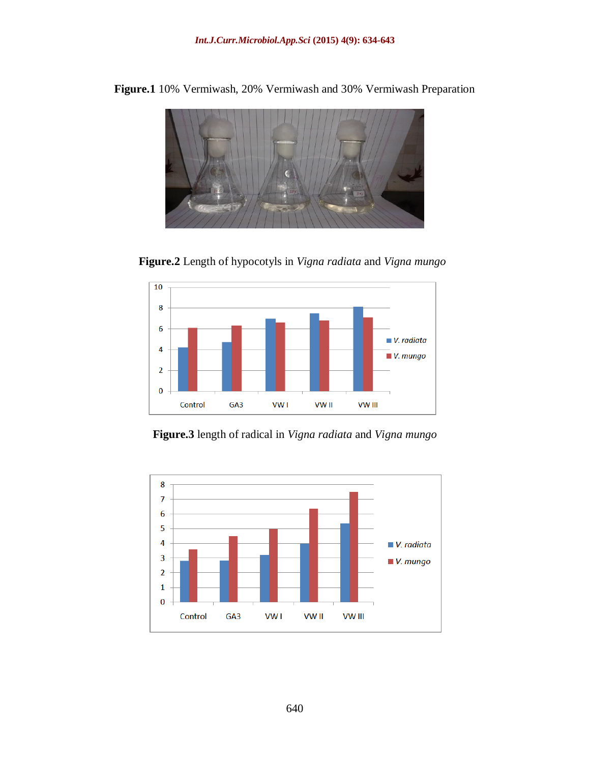

**Figure.1** 10% Vermiwash, 20% Vermiwash and 30% Vermiwash Preparation

**Figure.2** Length of hypocotyls in *Vigna radiata* and *Vigna mungo*



**Figure.3** length of radical in *Vigna radiata* and *Vigna mungo*

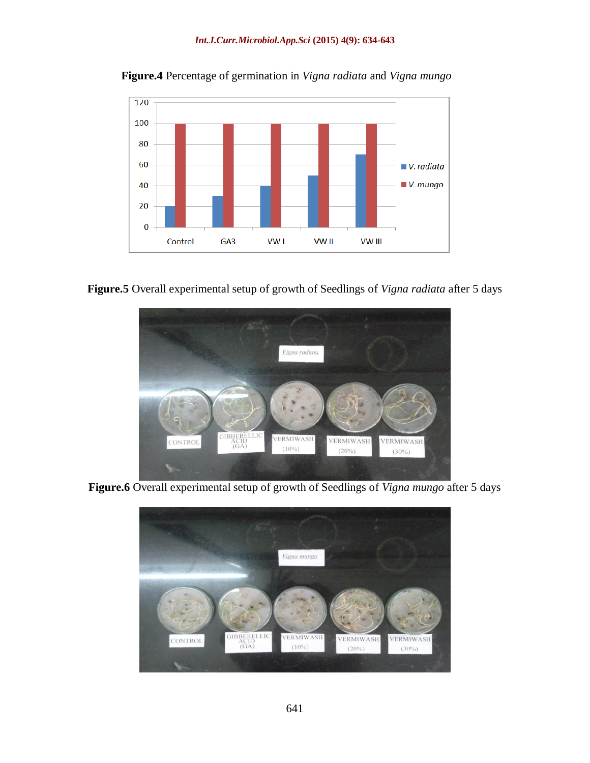

**Figure.4** Percentage of germination in *Vigna radiata* and *Vigna mungo*





**Figure.6** Overall experimental setup of growth of Seedlings of *Vigna mungo* after 5 days

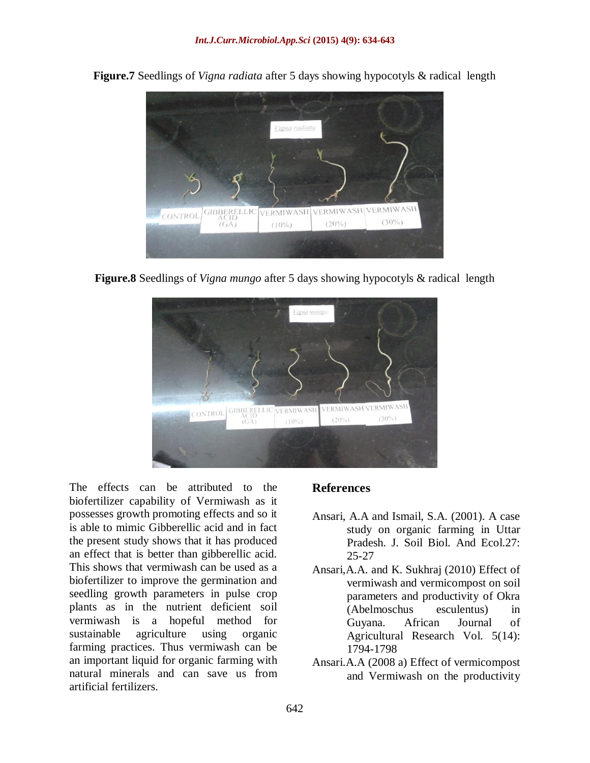

**Figure.7** Seedlings of *Vigna radiata* after 5 days showing hypocotyls & radical length

**Figure.8** Seedlings of *Vigna mungo* after 5 days showing hypocotyls & radical length



The effects can be attributed to the biofertilizer capability of Vermiwash as it possesses growth promoting effects and so it is able to mimic Gibberellic acid and in fact the present study shows that it has produced an effect that is better than gibberellic acid. This shows that vermiwash can be used as a biofertilizer to improve the germination and seedling growth parameters in pulse crop plants as in the nutrient deficient soil vermiwash is a hopeful method for sustainable agriculture using organic farming practices. Thus vermiwash can be an important liquid for organic farming with natural minerals and can save us from artificial fertilizers.

#### **References**

- Ansari, A.A and Ismail, S.A. (2001). A case study on organic farming in Uttar Pradesh. J. Soil Biol. And Ecol.27: 25-27
- Ansari,A.A. and K. Sukhraj (2010) Effect of vermiwash and vermicompost on soil parameters and productivity of Okra (Abelmoschus esculentus) in Guyana. African Journal of Agricultural Research Vol. 5(14): 1794-1798
- Ansari.A.A (2008 a) Effect of vermicompost and Vermiwash on the productivity